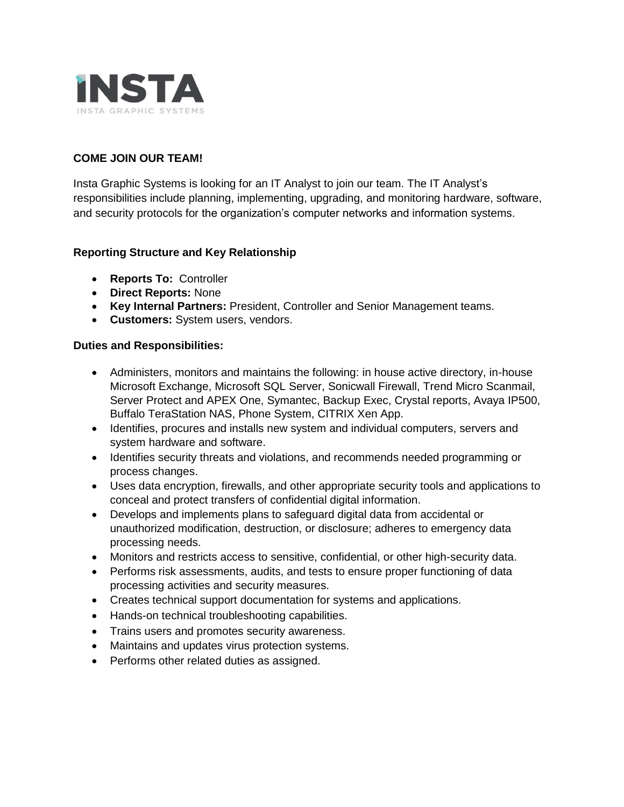

## **COME JOIN OUR TEAM!**

Insta Graphic Systems is looking for an IT Analyst to join our team. The IT Analyst's responsibilities include planning, implementing, upgrading, and monitoring hardware, software, and security protocols for the organization's computer networks and information systems.

## **Reporting Structure and Key Relationship**

- **Reports To:** Controller
- **Direct Reports:** None
- **Key Internal Partners:** President, Controller and Senior Management teams.
- **Customers:** System users, vendors.

## **Duties and Responsibilities:**

- Administers, monitors and maintains the following: in house active directory, in-house Microsoft Exchange, Microsoft SQL Server, Sonicwall Firewall, Trend Micro Scanmail, Server Protect and APEX One, Symantec, Backup Exec, Crystal reports, Avaya IP500, Buffalo TeraStation NAS, Phone System, CITRIX Xen App.
- Identifies, procures and installs new system and individual computers, servers and system hardware and software.
- Identifies security threats and violations, and recommends needed programming or process changes.
- Uses data encryption, firewalls, and other appropriate security tools and applications to conceal and protect transfers of confidential digital information.
- Develops and implements plans to safeguard digital data from accidental or unauthorized modification, destruction, or disclosure; adheres to emergency data processing needs.
- Monitors and restricts access to sensitive, confidential, or other high-security data.
- Performs risk assessments, audits, and tests to ensure proper functioning of data processing activities and security measures.
- Creates technical support documentation for systems and applications.
- Hands-on technical troubleshooting capabilities.
- Trains users and promotes security awareness.
- Maintains and updates virus protection systems.
- Performs other related duties as assigned.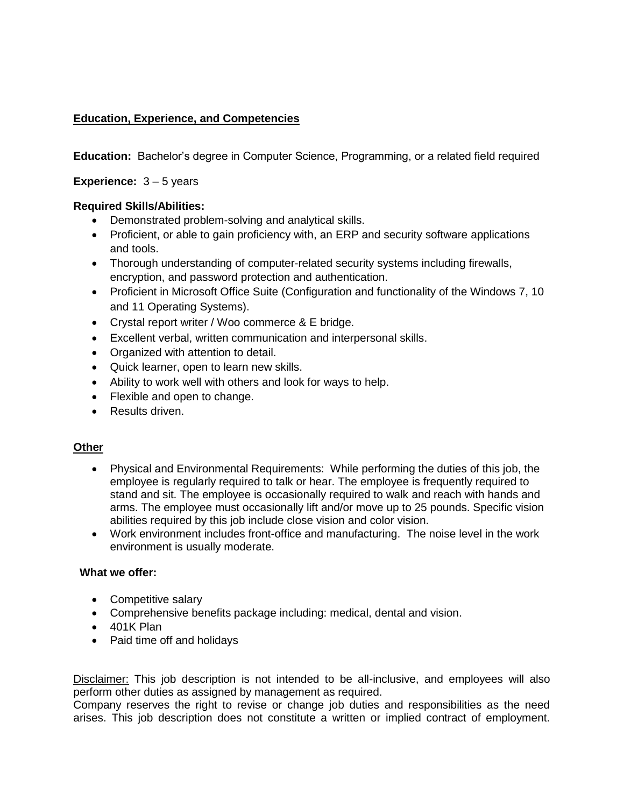# **Education, Experience, and Competencies**

**Education:** Bachelor's degree in Computer Science, Programming, or a related field required

**Experience:** 3 – 5 years

## **Required Skills/Abilities:**

- Demonstrated problem-solving and analytical skills.
- Proficient, or able to gain proficiency with, an ERP and security software applications and tools.
- Thorough understanding of computer-related security systems including firewalls, encryption, and password protection and authentication.
- Proficient in Microsoft Office Suite (Configuration and functionality of the Windows 7, 10 and 11 Operating Systems).
- Crystal report writer / Woo commerce & E bridge.
- Excellent verbal, written communication and interpersonal skills.
- Organized with attention to detail.
- Quick learner, open to learn new skills.
- Ability to work well with others and look for ways to help.
- Flexible and open to change.
- Results driven.

## **Other**

- Physical and Environmental Requirements: While performing the duties of this job, the employee is regularly required to talk or hear. The employee is frequently required to stand and sit. The employee is occasionally required to walk and reach with hands and arms. The employee must occasionally lift and/or move up to 25 pounds. Specific vision abilities required by this job include close vision and color vision.
- Work environment includes front-office and manufacturing. The noise level in the work environment is usually moderate.

## **What we offer:**

- Competitive salary
- Comprehensive benefits package including: medical, dental and vision.
- 401K Plan
- Paid time off and holidays

Disclaimer: This job description is not intended to be all-inclusive, and employees will also perform other duties as assigned by management as required.

Company reserves the right to revise or change job duties and responsibilities as the need arises. This job description does not constitute a written or implied contract of employment.